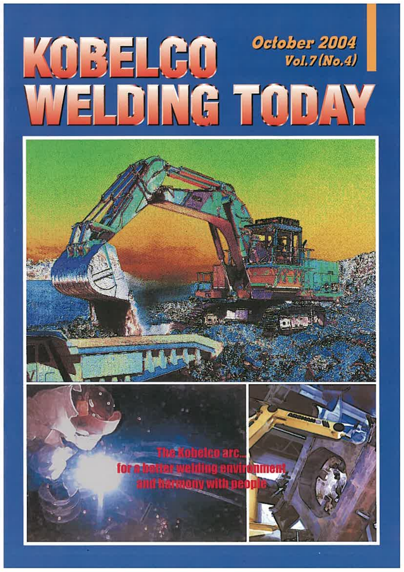

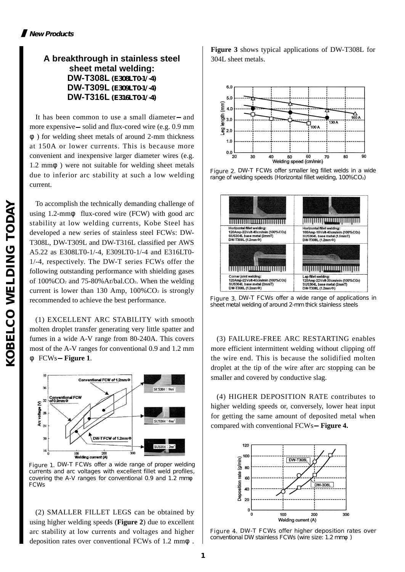# **A breakthrough in stainless steel sheet metal welding: DW-T308L (E308LT0-1/-4) DW-T309L (E309LT0-1/-4) DW-T316L (E316LT0-1/-4)**

It has been common to use a small diameter and more expensive solid and flux-cored wire (e.g. 0.9 mm

) for welding sheet metals of around 2-mm thickness at 150A or lower currents. This is because more convenient and inexpensive larger diameter wires (e.g. 1.2 mm ) were not suitable for welding sheet metals due to inferior arc stability at such a low welding current.

To accomplish the technically demanding challenge of using 1.2-mm flux-cored wire (FCW) with good arc stability at low welding currents, Kobe Steel has developed a new series of stainless steel FCWs: DW-T308L, DW-T309L and DW-T316L classified per AWS A5.22 as E308LT0-1/-4, E309LT0-1/-4 and E316LT0- 1/-4, respectively. The DW-T series FCWs offer the following outstanding performance with shielding gases of 100%CO2 and 75-80%Ar/bal.CO2. When the welding current is lower than 130 Amp,  $100\%$ CO<sub>2</sub> is strongly recommended to achieve the best performance.

(1) EXCELLENT ARC STABILITY with smooth molten droplet transfer generating very little spatter and fumes in a wide A-V range from 80-240A. This covers most of the A-V ranges for conventional 0.9 and 1.2 mm FCWs **Figure 1**.



Figure 1. DW-T FCWs offer a wide range of proper welding currents and arc voltages with excellent fillet weld profiles, covering the A-V ranges for conventional 0.9 and 1.2 mm FCWs

(2) SMALLER FILLET LEGS can be obtained by using higher welding speeds (**Figure 2**) due to excellent arc stability at low currents and voltages and higher deposition rates over conventional FCWs of 1.2 mm .

**Figure 3** shows typical applications of DW-T308L for 304L sheet metals.



Figure 2. DW-T FCWs offer smaller leg fillet welds in a wide range of welding speeds (Horizontal fillet welding, 100%CO2)



Figure 3. DW-T FCWs offer a wide range of applications in sheet metal welding of around 2-mm thick stainless steels

(3) FAILURE-FREE ARC RESTARTING enables more efficient intermittent welding without clipping off the wire end. This is because the solidified molten droplet at the tip of the wire after arc stopping can be smaller and covered by conductive slag.

(4) HIGHER DEPOSITION RATE contributes to higher welding speeds or, conversely, lower heat input for getting the same amount of deposited metal when compared with conventional FCWs **Figure 4.**



Figure 4. DW-T FCWs offer higher deposition rates over conventional DW stainless FCWs (wire size: 1.2 mm)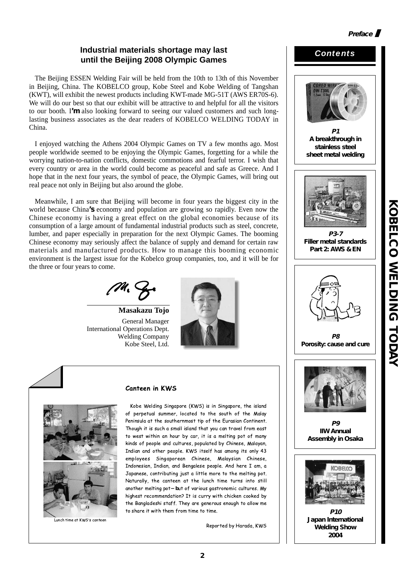# **Industrial materials shortage may last until the Beijing 2008 Olympic Games**

The Beijing ESSEN Welding Fair will be held from the 10th to 13th of this November in Beijing, China. The KOBELCO group, Kobe Steel and Kobe Welding of Tangshan (KWT), will exhibit the newest products including KWT-made MG-51T (AWS ER70S-6). We will do our best so that our exhibit will be attractive to and helpful for all the visitors to our booth. I**'m** also looking forward to seeing our valued customers and such longlasting business associates as the dear readers of KOBELCO WELDING TODAY in China.

I enjoyed watching the Athens 2004 Olympic Games on TV a few months ago. Most people worldwide seemed to be enjoying the Olympic Games, forgetting for a while the worrying nation-to-nation conflicts, domestic commotions and fearful terror. I wish that every country or area in the world could become as peaceful and safe as Greece. And I hope that in the next four years, the symbol of peace, the Olympic Games, will bring out real peace not only in Beijing but also around the globe.

Meanwhile, I am sure that Beijing will become in four years the biggest city in the world because China**'s** economy and population are growing so rapidly. Even now the Chinese economy is having a great effect on the global economies because of its consumption of a large amount of fundamental industrial products such as steel, concrete, lumber, and paper especially in preparation for the next Olympic Games. The booming Chinese economy may seriously affect the balance of supply and demand for certain raw materials and manufactured products. How to manage this booming economic environment is the largest issue for the Kobelco group companies, too, and it will be for the three or four years to come.

**Masakazu Tojo** General Manager International Operations Dept. Welding Company Kobe Steel, Ltd.





.<br>Lunch time at KWS's canteen

#### Canteen in KWS

Kobe Welding Singapore (KWS) is in Singapore, the island of perpetual summer, located to the south of the Malay Peninsula at the southernmost tip of the Eurasian Continent. Though it is such a small island that you can travel from east to west within an hour by car, it is a melting pot of many kinds of people and cultures, populated by Chinese, Malayan, Indian and other people. KWS itself has among its only 43 employees Singaporean Chinese, Malaysian Chinese, Indonesian, Indian, and Bengalese people. And here I am, a Japanese, contributing just a little more to the melting pot. Naturally, the canteen at the lunch time turns into still another melting pot**-b**ut of various gastronomic cultures. My highest recommendation? It is curry with chicken cooked by the Bangladeshi staff. They are generous enough to allow me to share it with them from time to time.

Reported by Harada, KWS



**2004**

*Contents*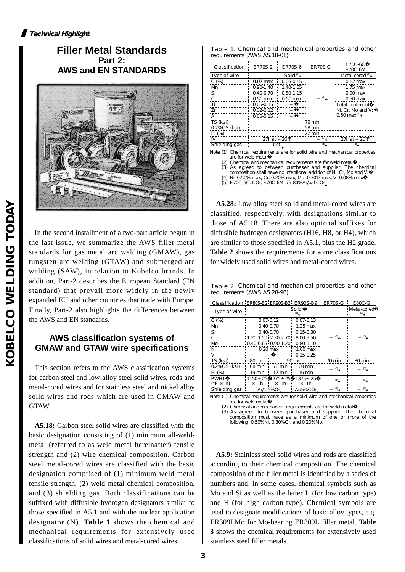# **Filler Metal Standards Part 2: AWS and EN STANDARDS**



In the second installment of a two-part article begun in the last issue, we summarize the AWS filler metal standards for gas metal arc welding (GMAW), gas tungsten arc welding (GTAW) and submerged arc welding (SAW), in relation to Kobelco brands. In addition, Part-2 describes the European Standard (EN standard) that prevail more widely in the newly expanded EU and other countries that trade with Europe. Finally, Part-2 also highlights the differences between the AWS and EN standards.

# **AWS classification systems of GMAW and GTAW wire specifications**

This section refers to the AWS classification systems for carbon steel and low-alloy steel solid wires, rods and metal-cored wires and for stainless steel and nickel alloy solid wires and rods which are used in GMAW and GTAW.

**A5.18:** Carbon steel solid wires are classified with the basic designation consisting of (1) minimum all-weldmetal (referred to as weld metal hereinafter) tensile strength and (2) wire chemical composition. Carbon steel metal-cored wires are classified with the basic designation comprised of (1) minimum weld metal tensile strength, (2) weld metal chemical composition, and (3) shielding gas. Both classifications can be suffixed with diffusible hydrogen designators similar to those specified in A5.1 and with the nuclear application designator (N). **Table 1** shows the chemical and mechanical requirements for extensively used classifications of solid wires and metal-cored wires.

|                             | Table 1. Chemical and mechanical properties and other |  |  |
|-----------------------------|-------------------------------------------------------|--|--|
| requirements (AWS A5.18-01) |                                                       |  |  |

| Classification | <b>ER70S-2</b> | <b>ER70S-6</b>  | <b>ER70S-G</b>   | E70C-6C<br>$E70C-6M$       |
|----------------|----------------|-----------------|------------------|----------------------------|
| Type of wire   |                | Solid $(1)$     |                  | Metal-cored <sup>(2)</sup> |
| $C(\%)$        | $0.07$ max     | $0.06 - 0.15$   |                  | $0.12 \,\mathrm{max}$      |
| M              | $0.90 - 1.40$  | 1.40-1.85       |                  | $1.75$ max                 |
| Si             | $0.40 - 0.70$  | $0.80 - 1.15$   |                  | $0.90$ max                 |
| Cu             | $0.50$ max     | $0.50$ max      | (3)              | $0.50$ max                 |
| Τi             | $0.05 - 0.15$  |                 |                  | Total content of           |
| Zr             | $0.02 - 0.12$  |                 |                  | Ni. Cr. Mo and V:          |
| AI             | $0.05 - 0.15$  |                 |                  | $10.50$ max $^{(4)}$       |
| TS (ksi)       |                |                 | 70 min           |                            |
| 0.2% OS (ksi)  |                |                 | 58 min           |                            |
| EI $(\%)$      |                |                 | $22 \text{ min}$ |                            |
| IV             | $27J$ at       | $20^{\circ}$ F  | (3)              | 27J at<br>$20^{\circ}$ F   |
| Shielding gas  |                | CO <sub>2</sub> | (3)              | (5)                        |

Note (1) Chemical requirements are for solid wire and mechanical properties are for weld metal�

(2) Chemical and mechanical requirements are for weld metal�

(3) As agreed to between purchaser and supplier. The chemical composition shall have no intentional addition of Ni, Cr, Mo and V.

(4) Ni: 0.50% max, Cr: 0.20% max, Mo: 0.30% max, V: 0.08% max�

(5) E70C-6C: CO2; E70C-6M: 75-80%Ar/bal CO2

**A5.28:** Low alloy steel solid and metal-cored wires are classified, respectively, with designations similar to those of A5.18. There are also optional suffixes for diffusible hydrogen designators (H16, H8, or H4), which are similar to those specified in A5.1, plus the H2 grade. **Table 2** shows the requirements for some classifications for widely used solid wires and metal-cored wires.

Table 2. Chemical and mechanical properties and other requirements (AWS A5.28-96)

| Classification ER80S-B2 ER90S-B3 ER90S-B9 ER70S-G |             |               |                                         |        | E80C-G      |
|---------------------------------------------------|-------------|---------------|-----------------------------------------|--------|-------------|
| Type of wire                                      |             |               | Solid                                   |        | Metal-cored |
| $C(\%)$                                           |             | $0.07 - 0.12$ | $0.07 - 0.13$                           |        |             |
| Mn                                                |             | $0.40 - 0.70$ | $1.25$ max                              |        |             |
| Si                                                |             | $0.40 - 0.70$ | $0.15 - 0.30$                           |        |             |
| Cr                                                |             |               | $1.20 - 1.50$ 2.30-2.70 8.00-9.50       | (3)    | (3)         |
| Mo                                                |             |               | $0.40 - 0.65 + 0.90 - 1.20$ ; 0.80-1.10 |        |             |
| Ni                                                |             | $0.20$ max    | $1.00$ max                              |        |             |
| v                                                 |             |               | $0.15 - 0.25$                           |        |             |
| TS (ksi)                                          | 80 min      |               | 90 min                                  | 70 min | 80 min      |
| 0.2% OS (ksi)                                     | 68 min      | 78 min        | 60 min                                  | (3)    | (3)         |
| EI(%)                                             | $19$ min    | 17 min        | 16 min                                  |        |             |
| <b>PWHT</b>                                       |             |               | 1150± 25'1275± 25' 1375± 25             | (3)    | (3)         |
| $(F \times h)$                                    | $\times$ 1h | $\times$ 1h   | $\times$ 1h                             |        |             |
| Shielding gas                                     |             | Ar/1-5% $O2$  | $Ar/5\%CO2$                             | (3)    | (3)         |
| .                                                 |             |               | .                                       | .      |             |

Note (1) Chemical requirements are for solid wire and mechanical properties are for weld metal�

Chemical and mechanical requirements are for weld metal (3) As agreed to between purchaser and supplier. The chemical composition must have as a minimum of one or more of the

following: 0.50%Ni, 0.30%Cr, and 0.20%Mo.

**A5.9:** Stainless steel solid wires and rods are classified according to their chemical composition. The chemical composition of the filler metal is identified by a series of numbers and, in some cases, chemical symbols such as Mo and Si as well as the letter L (for low carbon type) and H (for high carbon type). Chemical symbols are used to designate modifications of basic alloy types, e.g. ER309LMo for Mo-bearing ER309L filler metal. **Table 3** shows the chemical requirements for extensively used stainless steel filler metals.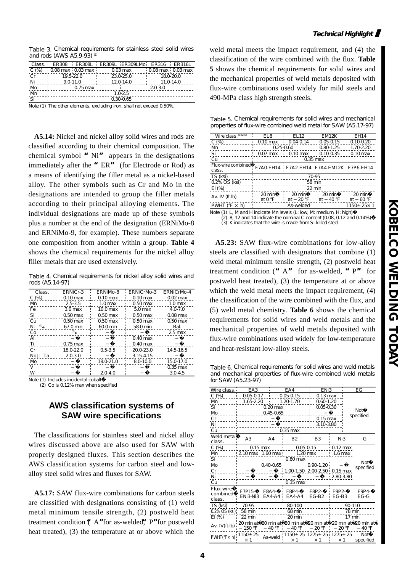Table 3. Chemical requirements for stainless steel solid wires and rods (AWS  $A5.9-93$ ) <sup>(1)</sup>

| Class. |                              |            | ER308 ER308L ER309L ER309LMb ER316 ER316L |                       |            |
|--------|------------------------------|------------|-------------------------------------------|-----------------------|------------|
| C(% )  | $0.08$ max $0.03$ max $0.03$ |            | $0.03$ max                                | $0.08$ max $0.03$ max |            |
| Сr     |                              | 19.5-22.0  | 23.0-25.0                                 |                       | 180-200    |
| Ni     |                              | $90-110$   | 12.0-14.0                                 |                       | 11 $0.140$ |
| Mo     |                              | $0.75$ max |                                           | 20-30                 |            |
| Mn     |                              |            | 1.0-2.5                                   |                       |            |
| -Si    |                              |            | 0.30-0.65                                 |                       |            |

Note (1) The other elements, excluding iron, shall not exceed 0.50%.

**A5.14:** Nickel and nickel alloy solid wires and rods are classified according to their chemical composition. The chemical symbol **"**Ni**"** appears in the designations immediately after the **"**ER**"** (for Electrode or Rod) as a means of identifying the filler metal as a nickel-based alloy. The other symbols such as Cr and Mo in the designations are intended to group the filler metals according to their principal alloying elements. The individual designations are made up of these symbols plus a number at the end of the designation (ERNiMo-8 and ERNiMo-9, for example). These numbers separate one composition from another within a group. **Table 4** shows the chemical requirements for the nickel alloy filler metals that are used extensively.

Table 4. Chemical requirements for nickel alloy solid wires and rods (A5.14-97)

| Class.                     | <b>ERNiCr-3</b>       | <b>ERNIMD-8</b>       | <b>ERNiCrMb-3</b>     | <b>ERNiCrMp-4</b>  |
|----------------------------|-----------------------|-----------------------|-----------------------|--------------------|
| C(% )                      | $0.10 \,\mathrm{max}$ | $0.10 \,\mathrm{max}$ | $0.10 \,\mathrm{max}$ | $0.02$ max         |
| Mn.                        | 25-35                 | 1.0 <sub>max</sub>    | $0.50$ max            | 1.0 <sub>max</sub> |
| Fe                         | 3.0 <sub>max</sub>    | $10.0$ max            | $5.0$ max             | 4.0-7.0            |
| Si                         | $0.50$ max            | $0.50$ max            | $0.50$ max            | $0.08$ max         |
| Cu                         | $0.50$ max            | $0.50$ max            | $0.50$ max            | $0.50$ max         |
| (1)<br>Ni                  | 67.0 min              | 60.0 min              | 58.0 min              | Bal.               |
| Co                         | $^{(2)}$              |                       |                       | $2.5$ max          |
| AI                         |                       |                       | $0.40$ max            |                    |
| Τi                         | $0.75$ max            |                       | $0.40$ max            |                    |
| Cr                         | 18.0-22.0             | $0.5 - 3.5$           | 20.0-23.0             | 14.5-16.5          |
| <b>N<sub>b</sub></b><br>Тa | $2.0 - 3.0$           |                       | 3.15-4.15             |                    |
| M <sub>o</sub>             |                       | 18.0-21.0             | 8.0-10.0              | 15.0-17.0          |
| $\mathcal{L}$              |                       |                       |                       | $0.35$ max         |
| W                          |                       | $2.0 - 4.0$           |                       | $3.0 - 4.5$        |

Note (1) Includes incidental cobalt�

(2) Co is 0.12% max when specified

# **AWS classification systems of SAW wire specifications**

The classifications for stainless steel and nickel alloy wires discussed above are also used for SAW with properly designed fluxes. This section describes the AWS classification systems for carbon steel and lowalloy steel solid wires and fluxes for SAW.

**A5.17:** SAW flux-wire combinations for carbon steels are classified with designations consisting of (1) weld metal minimum tensile strength, (2) postweld heat treatment condition (**"**A**"**for as-welded,**"**P**"**for postweld heat treated), (3) the temperature at or above which the

weld metal meets the impact requirement, and (4) the classification of the wire combined with the flux. **Table 5** shows the chemical requirements for solid wires and the mechanical properties of weld metals deposited with flux-wire combinations used widely for mild steels and 490-MPa class high strength steels.

Table 5. Chemical requirements for solid wires and mechanical properties of flux-wire combined weld metal for SAW (A5.17-97)

| Wire class. $(1)(2)(3)$      | EL8                        | <b>EL12</b>          | EM12K                                   | <b>EH14</b>           |
|------------------------------|----------------------------|----------------------|-----------------------------------------|-----------------------|
| C(% )                        | $0.10 \,\mathrm{max}$      | $0.04 - 0.14$        | $0.05 - 0.15$                           | $0.10 - 0.20$         |
| Mn                           |                            | $0.25 - 0.60$        | $0.80 - 1.25$                           | 1.70-2.20             |
| Si                           | 0.07 max                   | $0.10$ max           | $0.10 - 0.35$                           | $0.10 \,\mathrm{max}$ |
| Cu                           | $0.35$ max                 |                      |                                         |                       |
| Flux-wire combined<br>class. |                            |                      | F7AOEH14 F7A2-EH14 F7A4-EM12K F7P6-EH14 |                       |
|                              |                            |                      |                                         |                       |
| TS (ksi)                     |                            |                      | 70-95                                   |                       |
| 0.2% OS (ksi)                |                            |                      | 58 min                                  |                       |
| $EI$ (%)                     |                            |                      | $22 \text{ min}$                        |                       |
| Av. IV $(ft-lb)$             | $20 \text{ min}$<br>at O°F | 20 min<br>at $20$ °F | 20 min<br>$40^{\circ}F$<br>at           | 20 min<br>60 °F<br>at |
| PWHT $(°F \times h)$         |                            | As-welded            |                                         | $1150 + 25 \times 1$  |

Note (1) L, Mand H indicate Mn levels (L: low, M: medium, H: high)<br>(2) 8, 12 and 14 indicate the nominal C content (0.08, 0.12 and 0.14%) (3) K indicates that the wire is made from Si-killed steel

**A5.23:** SAW flux-wire combinations for low-alloy steels are classified with designators that combine (1) weld metal minimum tensile strength, (2) postweld heat treatment condition (**"**A**"** for as-welded, **"**P**"** for postweld heat treated), (3) the temperature at or above which the weld metal meets the impact requirement, (4) the classification of the wire combined with the flux, and (5) weld metal chemistry. **Table 6** shows the chemical requirements for solid wires and weld metals and the mechanical properties of weld metals deposited with flux-wire combinations used widely for low-temperature and heat-resistant low-alloy steels.

Table 6. Chemical requirements for solid wires and weld metals and mechanical properties of flux-wire combined weld metals for SAW (A5.23-97)

| Wire class. EA3                                                                                                                                                                                                                                                                                                                                                                                                                                                     |                                      | r.                            | EA4                              | ENi3                        |                                                      | ЕG               |
|---------------------------------------------------------------------------------------------------------------------------------------------------------------------------------------------------------------------------------------------------------------------------------------------------------------------------------------------------------------------------------------------------------------------------------------------------------------------|--------------------------------------|-------------------------------|----------------------------------|-----------------------------|------------------------------------------------------|------------------|
| $C(%)$ i                                                                                                                                                                                                                                                                                                                                                                                                                                                            |                                      | $0.05 - 0.17$                 | 0.05-0.15                        | $\frac{1}{2}$ 0.13 max      |                                                      |                  |
|                                                                                                                                                                                                                                                                                                                                                                                                                                                                     |                                      |                               | Mn 1.65-2.20 1.20-1.70 0.60-1.20 |                             |                                                      |                  |
| Si 2005-0.30                                                                                                                                                                                                                                                                                                                                                                                                                                                        |                                      |                               |                                  |                             |                                                      |                  |
| Mo                                                                                                                                                                                                                                                                                                                                                                                                                                                                  | _______________0.45-0.65             |                               |                                  |                             |                                                      | Not<br>specified |
| $\overline{C}$ r                                                                                                                                                                                                                                                                                                                                                                                                                                                    |                                      |                               |                                  | $0.15$ max                  |                                                      |                  |
| Ni_                                                                                                                                                                                                                                                                                                                                                                                                                                                                 |                                      |                               |                                  | $13.10 - 3.80$              |                                                      |                  |
| Cu                                                                                                                                                                                                                                                                                                                                                                                                                                                                  |                                      |                               | $0.35$ max                       |                             |                                                      |                  |
| Weld metal<br>class.                                                                                                                                                                                                                                                                                                                                                                                                                                                | A3                                   | A4                            | <b>B2</b>                        | <b>B3</b>                   | Ni3                                                  | G                |
| C (%) 0.15 max 0.05-0.15 0.12 max                                                                                                                                                                                                                                                                                                                                                                                                                                   |                                      |                               |                                  |                             |                                                      |                  |
| Mn 210 max 1.60 max 1.20 max 1.6 max                                                                                                                                                                                                                                                                                                                                                                                                                                |                                      |                               |                                  |                             |                                                      |                  |
| Si and a structure                                                                                                                                                                                                                                                                                                                                                                                                                                                  | <u>.</u>                             |                               | 0.80 max                         |                             |                                                      |                  |
| Mo                                                                                                                                                                                                                                                                                                                                                                                                                                                                  | - - - - - - - - - - - - - 9 <u>.</u> |                               |                                  | $0.40 - 0.65$ $0.90 - 1.20$ |                                                      | Not<br>specified |
| Cr                                                                                                                                                                                                                                                                                                                                                                                                                                                                  |                                      |                               |                                  |                             | 1.00-1.50 2.00-2.50 0.15 max                         |                  |
| Ni                                                                                                                                                                                                                                                                                                                                                                                                                                                                  |                                      |                               |                                  |                             | $.280 - 3.80$                                        |                  |
| Cu                                                                                                                                                                                                                                                                                                                                                                                                                                                                  |                                      |                               | $0.35$ max                       |                             |                                                      |                  |
| <b>Flux-wire</b><br>combined<br>class.                                                                                                                                                                                                                                                                                                                                                                                                                              |                                      | F7P15 F8A4<br>ENi3-Ni3 EA4-A4 | F8P4- F8P2-                      | $EAA-AA$ $EG-B2$            | F9P2<br>EG-B3                                        | F9P4<br>∙ EG-G   |
| TS (ksi) 70-95                                                                                                                                                                                                                                                                                                                                                                                                                                                      |                                      | . . <b>.</b>                  | 80-100                           | . L .                       | 90-110                                               |                  |
| 0.2% OS (ksi); 58 min                                                                                                                                                                                                                                                                                                                                                                                                                                               |                                      | -------- <sub>-</sub> 68 min  |                                  |                             | . 78 min                                             |                  |
| $EI(\%)$                                                                                                                                                                                                                                                                                                                                                                                                                                                            | $\frac{1}{2}$ 22 min                 |                               | 20 min                           |                             | 17 min                                               |                  |
| Av. IV (ft-Ib) $20 \text{ min at } 20 \text{ min at } 20 \text{ min at } 20 \text{ min at } 20 \text{ min at } 20 \text{ min at } 20 \text{ min at } 20 \text{ min at } 20 \text{ min at } 20 \text{ min at } 20 \text{ min at } 20 \text{ min at } 20 \text{ min at } 20 \text{ min at } 20 \text{ min at } 20 \text{ min at } 20 \text{ min at } 20 \text{ min at } 20 \text{ min at } 20 \text{ min at } 20 \text{ min at } 20 \text{ min at } 20 \text{ min at$ |                                      |                               |                                  |                             | 150°F¦ 40°F + 40°F + 20°F + 20°F + 40°F              |                  |
| PWHT(°F × h)                                                                                                                                                                                                                                                                                                                                                                                                                                                        | $1150 + 25$<br>$\times$ 1            |                               | $\times$ 1 $\pm$                 |                             | As-weld 1150± 25 1275± 25 1275± 25 Not<br>$\times$ 1 | specified        |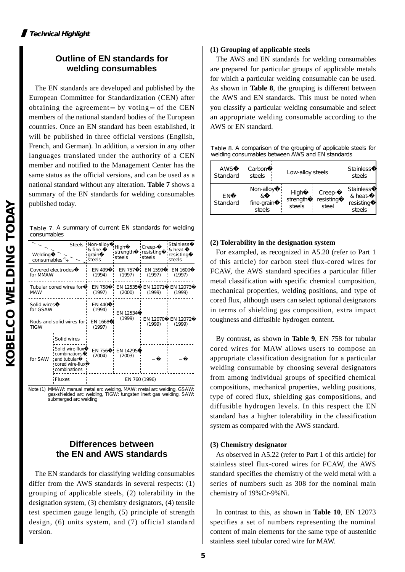# **Outline of EN standards for welding consumables**

The EN standards are developed and published by the European Committee for Standardization (CEN) after obtaining the agreement by voting of the CEN members of the national standard bodies of the European countries. Once an EN standard has been established, it will be published in three official versions (English, French, and German). In addition, a version in any other languages translated under the authority of a CEN member and notified to the Management Center has the same status as the official versions, and can be used as a national standard without any alteration. **Table 7** shows a summary of the EN standards for welding consumables published today.

Table 7. A summary of current EN standards for welding consumables

| Welding<br>consumables <sup>(1)</sup> |                                                                                     | Steels Non-alloy<br>& fine-<br>grain<br>steels | High<br>strength<br>steels | Creep-<br>resisting<br>steels | Stainless<br>& heat-<br>resisting<br>steels |
|---------------------------------------|-------------------------------------------------------------------------------------|------------------------------------------------|----------------------------|-------------------------------|---------------------------------------------|
| Covered electrodes<br>for MMAW        |                                                                                     | EN 499<br>(1994)                               | EN 757<br>(1997)           | FN 1599<br>(1997)             | <b>FN 1600</b><br>(1997)                    |
| <b>MAW</b>                            | Tubular cored wires for                                                             | EN 758<br>(1997)                               | EN 12535<br>(2000)         | EN 12071<br>(1999)            | EN 12073<br>(1999)                          |
| Solid wires<br>for GSAW               |                                                                                     | EN 440<br>(1994)                               | EN 12534                   | EN 12070<br>(1999)            | FN 12072<br>(1999)                          |
| Rods and solid wires for<br>TIGW      |                                                                                     | EN 1668<br>(1997)                              | (1999)                     |                               |                                             |
|                                       | Solid wires                                                                         |                                                |                            |                               |                                             |
| for SAW                               | Solid wire-flux<br>combinations<br>and tubular!<br>cored wire-flux!<br>combinations | EN 756<br>(2004)                               | EN 14295<br>(2003)         |                               |                                             |
|                                       | Fluxes                                                                              |                                                |                            | EN 760 (1996)                 |                                             |

Note (1) MMAW: manual metal arc welding, MAW: metal arc welding, GSAW: gas-shielded arc welding, TIGW: tungsten inert gas welding, SAW: submerged arc welding

# **Differences between the EN and AWS standards**

The EN standards for classifying welding consumables differ from the AWS standards in several respects: (1) grouping of applicable steels, (2) tolerability in the designation system, (3) chemistry designators, (4) tensile test specimen gauge length, (5) principle of strength design, (6) units system, and (7) official standard version.

## **(1) Grouping of applicable steels**

The AWS and EN standards for welding consumables are prepared for particular groups of applicable metals for which a particular welding consumable can be used. As shown in **Table 8**, the grouping is different between the AWS and EN standards. This must be noted when you classify a particular welding consumable and select an appropriate welding consumable according to the AWS or EN standard.

Table 8. A comparison of the grouping of applicable steels for welding consumables between AWS and EN standards

| <b>AWS</b>                   | Carbon                            | Low-alloy steels           |                              | <b>Stainless</b>                                   |
|------------------------------|-----------------------------------|----------------------------|------------------------------|----------------------------------------------------|
| <b>Standard</b>              | steels                            |                            |                              | steels                                             |
| <b>FN</b><br><b>Standard</b> | Non-alloy<br>fine-grain<br>steels | High<br>strength<br>steels | Creep-<br>resisting<br>steel | <b>Stainless</b><br>& heat-<br>resisting<br>steels |

## **(2) Tolerability in the designation system**

For exampled, as recognized in A5.20 (refer to Part 1 of this article) for carbon steel flux-cored wires for FCAW, the AWS standard specifies a particular filler metal classification with specific chemical composition, mechanical properties, welding positions, and type of cored flux, although users can select optional designators in terms of shielding gas composition, extra impact toughness and diffusible hydrogen content.

By contrast, as shown in **Table 9**, EN 758 for tubular cored wires for MAW allows users to compose an appropriate classification designation for a particular welding consumable by choosing several designators from among individual groups of specified chemical compositions, mechanical properties, welding positions, type of cored flux, shielding gas compositions, and diffusible hydrogen levels. In this respect the EN standard has a higher tolerability in the classification system as compared with the AWS standard.

# **(3) Chemistry designator**

As observed in A5.22 (refer to Part 1 of this article) for stainless steel flux-cored wires for FCAW, the AWS standard specifies the chemistry of the weld metal with a series of numbers such as 308 for the nominal main chemistry of 19%Cr-9%Ni.

In contrast to this, as shown in **Table 10**, EN 12073 specifies a set of numbers representing the nominal content of main elements for the same type of austenitic stainless steel tubular cored wire for MAW.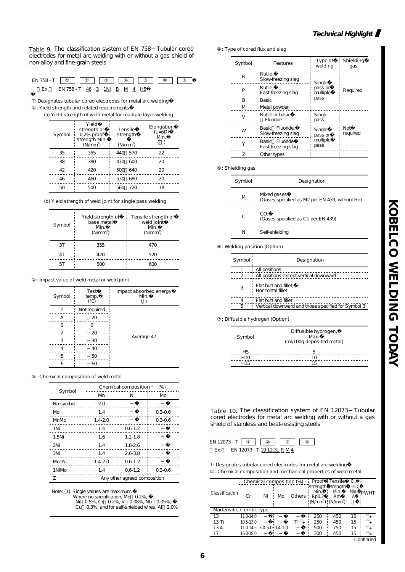Table 9. The classification system of EN 758 Tubular cored electrodes for metal arc welding with or without a gas shield of non-alloy and fine-grain steels

|     | EN 758 - T $\Box$          |
|-----|----------------------------|
| Fx. | EN 758-T 46 3 1Ni B M 4 H5 |

T: Designates tubular cored electrodes for metal arc welding� : Yield strength and related requirements

(a) Yield strength of weld metal for multiple-layer welding

| Symbol | Yield<br>strength or<br>0.2% proof<br>strength Min.<br>(N/mm <sup>2</sup> ) | Tensile<br>strength<br>(N/mm <sup>2</sup> ) | Elongation<br>(L=5D)<br>Mn. |
|--------|-----------------------------------------------------------------------------|---------------------------------------------|-----------------------------|
| 35     | 355                                                                         | 570<br>44O                                  | 22                          |
| 38     | 380                                                                         | - 600<br>470                                | 20                          |
| 42     | 420                                                                         | -640<br>500                                 | 20                          |
| 46     | 460                                                                         | 680<br>530                                  | 20                          |
| 50     | 500                                                                         | 720<br>560                                  | 18                          |

(b) Yield strength of weld joint for single pass welding

| Symbol | Yield strength of<br>base metal<br>Mn.<br>(N/mm <sup>2</sup> ) | Tensile strength of<br>weld joint<br>Mn.<br>(N/mm <sup>2</sup> ) |
|--------|----------------------------------------------------------------|------------------------------------------------------------------|
| 3T     | 355                                                            | 470                                                              |
| ΔT     | 420                                                            | 520                                                              |
|        |                                                                |                                                                  |

: Impact value of weld metal or weld joint

| Symbol | Test<br>temp. | Impact absorbed energy<br>Mn.<br>$\left( \cup \right)$ |
|--------|---------------|--------------------------------------------------------|
| Z      | Not required  |                                                        |
|        | 20            |                                                        |
|        |               |                                                        |
| 2      | 20            |                                                        |
| 3      | 30            | Average 47                                             |
|        | 40            |                                                        |
| 5      | 50            |                                                        |
|        | 60            |                                                        |

: Chemical composition of weld metal

| Symbol    | Chemical composition <sup>(1)</sup><br>$(\%)$ |             |             |  |  |  |  |
|-----------|-----------------------------------------------|-------------|-------------|--|--|--|--|
|           | Mn                                            | Νi          | Mb          |  |  |  |  |
| No symbol | 2.0                                           |             |             |  |  |  |  |
| Mo        | 1.4                                           |             | $0.3 - 0.6$ |  |  |  |  |
| MnMo      | $1.4 - 2.0$                                   |             | 0.3-0.6     |  |  |  |  |
| 1Ni       | 1.4                                           | $0.6 - 1.2$ |             |  |  |  |  |
| 1.5Ni     | 1.6                                           | $1.2 - 1.8$ |             |  |  |  |  |
| 2Ni       | 1.4                                           | $1.8 - 2.6$ |             |  |  |  |  |
| 3Ni       | 1.4                                           | $2.6 - 3.8$ |             |  |  |  |  |
| Mn1Ni     | $1.4 - 2.0$                                   | $0.6 - 1.2$ |             |  |  |  |  |
| 1NiMo     | 1.4                                           | $0.6 - 1.2$ | $0.3 - 0.6$ |  |  |  |  |
| 7         | Any other agreed composition                  |             |             |  |  |  |  |

Note: (1) Single values are maximum.

Where no specification, Mo 0.2%,<br>Ni 0.5%, Cr 0.2%, V 0.08%, Nb 0.05%,

Cu 0.3%, and for self-shielded wires, Al 2.0%

: Type of cored flux and slag

| Symbol | <b>Features</b>                       | Type of<br>welding  | Shielding<br>qas |  |
|--------|---------------------------------------|---------------------|------------------|--|
| R      | Rutile.<br>Slow-freezing slag         | Single              |                  |  |
| Þ      | Rutile.<br>Fast-freezing slag         | pass or<br>multiple | Required         |  |
| B      | Basic                                 | pass                |                  |  |
| M      | Metal powder                          |                     |                  |  |
| V      | Rutile or basic<br>Fluoride           | Single<br>pass      |                  |  |
| W      | Basic Fluoride.<br>Slow-freezing slag | Single<br>pass or   | Not<br>required  |  |
|        | Basic Fluoride<br>Fast-freezing slag  | multiple<br>pass    |                  |  |
| 7      | Other types                           |                     |                  |  |

#### : Shielding gas

| Symbol | Designation                                                   |  |  |  |
|--------|---------------------------------------------------------------|--|--|--|
| M      | Mixed gases<br>(Gases specified as M2 per EN 439, without He) |  |  |  |
| C      | CO <sub>2</sub><br>(Gases specified as C1 per EN 439)         |  |  |  |
| Ν      | Self-shielding                                                |  |  |  |

: Welding position (Option)

| Symbol: | Designation                                        |
|---------|----------------------------------------------------|
|         | All positions                                      |
| 2       | All positions except vertical downward             |
| 3       | Flat butt and fillet,<br>Horizontal fillet         |
|         | Flat butt and fillet                               |
| Б,      | Vertical downward and those specified for Symbol 3 |
|         |                                                    |

: Diffusible hydrogen (Option)

| Symbol          | Diffusible hydrogen,<br>Max.<br>(ml/100g deposited metal) |  |  |
|-----------------|-----------------------------------------------------------|--|--|
| Н5              |                                                           |  |  |
| H <sub>10</sub> | 10                                                        |  |  |
| H <sub>15</sub> | 15                                                        |  |  |

Table 10. The classification system of EN 12073 Tubular cored electrodes for metal arc welding with or without a gas shield of stainless and heat-resisting steels



T: Designates tubular cored electrodes for metal arc welding� : Chemical composition and mechanical properties of weld metal

| Classification              | Cr                        | Chemical composition (%)<br>Ni | Mo | Others | Rp02 | Proof Tensile El.<br>strength strength (L=5D).<br>Rm<br>$\langle N/mm^2 \rangle$ ( $N/mm^2$ ) | ⊹ Mn. | PWHT      |
|-----------------------------|---------------------------|--------------------------------|----|--------|------|-----------------------------------------------------------------------------------------------|-------|-----------|
| Martensitic / ferritic type |                           |                                |    |        |      |                                                                                               |       |           |
| 13                          | $11.0 - 14.0$             |                                |    |        | 250  | 450                                                                                           | 15    | (3)       |
| 13T <sub>i</sub>            | $10.5 - 13.0$             |                                |    | Ti (1) | 250  | 450                                                                                           | 15    | (3)       |
| 134                         | 11.0-14.5 3.0-5.0 0.4-1.0 |                                |    |        | 500  | 750                                                                                           | 15    | (4)       |
|                             | 16.0-18.0                 |                                |    |        | 300  | 450                                                                                           | 15    | (5)       |
|                             |                           |                                |    |        |      |                                                                                               |       | Continued |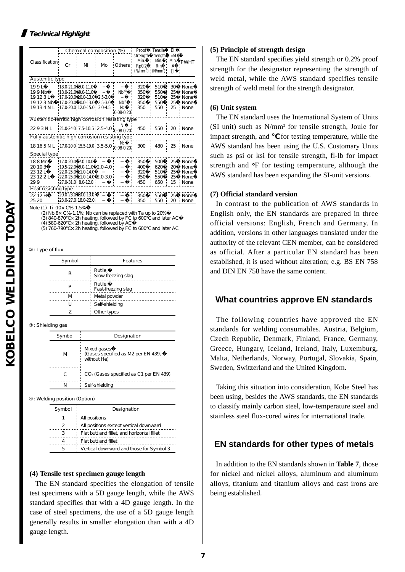# **Technical Highlight**

|                                                   |                 | Chemical composition (%)                                                                                                                    |    |                                                 | Proof                                                                                                | i Tensile                       | EI.                        |                                                       |
|---------------------------------------------------|-----------------|---------------------------------------------------------------------------------------------------------------------------------------------|----|-------------------------------------------------|------------------------------------------------------------------------------------------------------|---------------------------------|----------------------------|-------------------------------------------------------|
| Classification!                                   | Cr              | Ni                                                                                                                                          | Mb | Others                                          | strength strength (L=5D)<br>Mn.<br>RpQ <sub>2</sub><br>(N/mm <sup>2</sup> ) ¦ (N/mm <sup>2</sup> ) ¦ | Mn.<br>Rm                       | Mn.<br>А                   | PWHT                                                  |
|                                                   | Austenitic type |                                                                                                                                             |    |                                                 |                                                                                                      |                                 |                            |                                                       |
| 19 9 L<br>199Nb<br>19123L<br>19123Nb<br>1913 4N L |                 | $180-21.0$ , 9.0-11.0<br>!180-21.0! 9.0-11.0!<br>!17.0-20.0 10.0-13.0 2.5-3.0<br>17.0-20.0 10.0-13.0 2.5-3.0<br>17.0-20.0 12.0-15.0 3.0-4.5 |    | $Nb^{(2)}$<br>$Nb^{(2)}$<br>N:<br>$0.08 - 0.20$ | 320<br>350<br>320<br>350<br>350                                                                      | 510<br>550<br>510<br>550<br>550 | 30<br>25<br>25<br>25<br>25 | : None<br>None<br>! None<br><sup>*</sup> None<br>None |
| Austenitic-ferritic high corrosion resisting type |                 |                                                                                                                                             |    |                                                 |                                                                                                      |                                 |                            |                                                       |
| 2293NL                                            |                 | $21.0240$ 7.5-10.5 2.5-4.0 008-0.20                                                                                                         |    | N:                                              | 450                                                                                                  | 550 20 None                     |                            |                                                       |
| Fully-austenitic high corrosion resisting type    |                 |                                                                                                                                             |    |                                                 |                                                                                                      |                                 |                            |                                                       |
| 1816 5 N L 17.0 200 155-19.0 3.5-5.0 008-0.20     |                 |                                                                                                                                             |    |                                                 |                                                                                                      | 300 480 25 None                 |                            |                                                       |
| Special type                                      |                 |                                                                                                                                             |    |                                                 |                                                                                                      |                                 |                            |                                                       |
| 188Mn<br>20103<br>2312L<br>23122L<br>299          |                 | '17.0-20.0' 7.0-10.0'<br>19.5-22.0 9.0-11.0 2.0-4.0<br>22.0-25.0 11.0-14.0<br>22.0-25.0 11.0-14.0 2.0-3.0<br>'27.031.08012.0                |    |                                                 | 350<br>400<br>320<br>350<br>450                                                                      | 500<br>620<br>510<br>550<br>650 | 25<br>20<br>25<br>25<br>15 | : None<br>None<br>' None<br>None<br>None              |
| Heat resisting type                               |                 |                                                                                                                                             |    |                                                 |                                                                                                      |                                 |                            |                                                       |
| 2212H<br>25 20                                    |                 | 200-230-100-130<br>23.0-27.0.18.0-22.0.                                                                                                     |    |                                                 | 350<br>350                                                                                           | 550<br>550                      | 25<br>20                   | None<br>None                                          |
| Note (1) Ti:10 x C%-1.5%                          |                 | $(0.11, 0.00, 4.40, 11, 1.1, 1.1, 1.1, 7, 1.000)$                                                                                           |    |                                                 |                                                                                                      |                                 |                            |                                                       |

(2) Nb:8× C%-1.1%; Nb can be replaced with Ta up to 20%<br>(3) 840-870 × 2h heating, followed by FC to 600 and later AC<br>(4) 580-620 × 2h heating, followed by AC  $(5)$  760-790  $\times$  2h heating, followed by FC to 600 and later AC

: Type of flux

| Symbol | <b>Features</b>               |
|--------|-------------------------------|
| R      | Rutile,<br>Slow-freezing slag |
| P      | Rutile,<br>Fast-freezing slag |
| M      | Metal powder                  |
| U      | Self-shielding                |
|        | Other types                   |

#### : Shielding gas

| Symbol | Designation                                                      |
|--------|------------------------------------------------------------------|
| M      | Mixed gases<br>(Gases specified as M2 per EN 439,<br>without He) |
| C      | CO <sub>2</sub> (Gases specified as C1 per EN 439)               |
| N      | Self-shielding                                                   |

#### : Welding position (Option)

| Symbol | Designation                                 |
|--------|---------------------------------------------|
|        | All positions                               |
|        | All positions except vertical downward      |
|        | Flat butt and fillet, and horizontal fillet |
|        | Flat butt and fillet                        |
| 5      | Vertical downward and those for Symbol 3    |

## **(4) Tensile test specimen gauge length**

The EN standard specifies the elongation of tensile test specimens with a 5D gauge length, while the AWS standard specifies that with a 4D gauge length. In the case of steel specimens, the use of a 5D gauge length generally results in smaller elongation than with a 4D gauge length.

#### **(5) Principle of strength design**

The EN standard specifies yield strength or 0.2% proof strength for the designator representing the strength of weld metal, while the AWS standard specifies tensile strength of weld metal for the strength designator.

### **(6) Unit system**

The EN standard uses the International System of Units (SI unit) such as N/mm2 for tensile strength, Joule for impact strength, and for testing temperature, while the AWS standard has been using the U.S. Customary Units such as psi or ksi for tensile strength, fl-lb for impact strength and **°**F for testing temperature, although the AWS standard has been expanding the SI-unit versions.

## **(7) Official standard version**

In contrast to the publication of AWS standards in English only, the EN standards are prepared in three official versions: English, French and Germany. In addition, versions in other languages translated under the authority of the relevant CEN member, can be considered as official. After a particular EN standard has been established, it is used without alteration; e.g. BS EN 758 and DIN EN 758 have the same content.

# **What countries approve EN standards**

The following countries have approved the EN standards for welding consumables. Austria, Belgium, Czech Republic, Denmark, Finland, France, Germany, Greece, Hungary, Iceland, Ireland, Italy, Luxemburg, Malta, Netherlands, Norway, Portugal, Slovakia, Spain, Sweden, Switzerland and the United Kingdom.

Taking this situation into consideration, Kobe Steel has been using, besides the AWS standards, the EN standards to classify mainly carbon steel, low-temperature steel and stainless steel flux-cored wires for international trade.

# **EN standards for other types of metals**

In addition to the EN standards shown in **Table 7**, those for nickel and nickel alloys, aluminum and aluminum alloys, titanium and titanium alloys and cast irons are being established.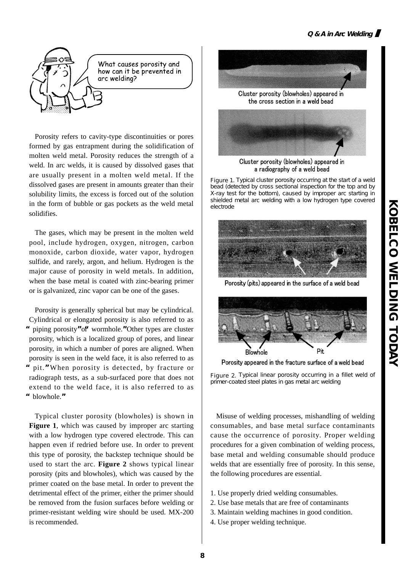

Porosity refers to cavity-type discontinuities or pores formed by gas entrapment during the solidification of molten weld metal. Porosity reduces the strength of a weld. In arc welds, it is caused by dissolved gases that are usually present in a molten weld metal. If the dissolved gases are present in amounts greater than their solubility limits, the excess is forced out of the solution in the form of bubble or gas pockets as the weld metal solidifies.

The gases, which may be present in the molten weld pool, include hydrogen, oxygen, nitrogen, carbon monoxide, carbon dioxide, water vapor, hydrogen sulfide, and rarely, argon, and helium. Hydrogen is the major cause of porosity in weld metals. In addition, when the base metal is coated with zinc-bearing primer or is galvanized, zinc vapor can be one of the gases.

Porosity is generally spherical but may be cylindrical. Cylindrical or elongated porosity is also referred to as **"**piping porosity**"**or**"**wormhole.**"**Other types are cluster porosity, which is a localized group of pores, and linear porosity, in which a number of pores are aligned. When porosity is seen in the weld face, it is also referred to as **"**pit.**"**When porosity is detected, by fracture or radiograph tests, as a sub-surfaced pore that does not extend to the weld face, it is also referred to as **"**blowhole.**"**

Typical cluster porosity (blowholes) is shown in **Figure 1**, which was caused by improper arc starting with a low hydrogen type covered electrode. This can happen even if redried before use. In order to prevent this type of porosity, the backstep technique should be used to start the arc. **Figure 2** shows typical linear porosity (pits and blowholes), which was caused by the primer coated on the base metal. In order to prevent the detrimental effect of the primer, either the primer should be removed from the fusion surfaces before welding or primer-resistant welding wire should be used. MX-200 is recommended.



Cluster porosity (blowholes) appeared in the cross section in a weld bead



Cluster porosity (blowholes) appeared in a radiography of a weld bead

Figure 1. Typical cluster porosity occurring at the start of a weld bead (detected by cross sectional inspection for the top and by X-ray test for the bottom), caused by improper arc starting in shielded metal arc welding with a low hydrogen type covered electrode



Porosity (pits) appeared in the surface of a weld bead



Porosity appeared in the fracture surface of a weld bead

Figure 2. Typical linear porosity occurring in a fillet weld of primer-coated steel plates in gas metal arc welding

Misuse of welding processes, mishandling of welding consumables, and base metal surface contaminants cause the occurrence of porosity. Proper welding procedures for a given combination of welding process, base metal and welding consumable should produce welds that are essentially free of porosity. In this sense, the following procedures are essential.

- 1. Use properly dried welding consumables.
- 2. Use base metals that are free of contaminants
- 3. Maintain welding machines in good condition.
- 4. Use proper welding technique.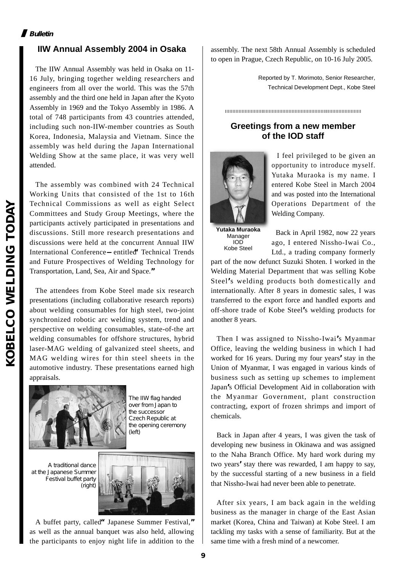# **Bulletin**

# **IIW Annual Assembly 2004 in Osaka**

The IIW Annual Assembly was held in Osaka on 11- 16 July, bringing together welding researchers and engineers from all over the world. This was the 57th assembly and the third one held in Japan after the Kyoto Assembly in 1969 and the Tokyo Assembly in 1986. A total of 748 participants from 43 countries attended, including such non-IIW-member countries as South Korea, Indonesia, Malaysia and Vietnam. Since the assembly was held during the Japan International Welding Show at the same place, it was very well attended.

The assembly was combined with 24 Technical Working Units that consisted of the 1st to 16th Technical Commissions as well as eight Select Committees and Study Group Meetings, where the participants actively participated in presentations and discussions. Still more research presentations and discussions were held at the concurrent Annual IIW International Conference entitled**"**Technical Trends and Future Prospectives of Welding Technology for Transportation, Land, Sea, Air and Space.**"**

The attendees from Kobe Steel made six research presentations (including collaborative research reports) about welding consumables for high steel, two-joint synchronized robotic arc welding system, trend and perspective on welding consumables, state-of-the art welding consumables for offshore structures, hybrid laser-MAG welding of galvanized steel sheets, and MAG welding wires for thin steel sheets in the automotive industry. These presentations earned high appraisals.



The IIW flag handed over from Japan to the successor Czech Republic at the opening ceremony (left)

A traditional dance at the Japanese Summer Festival buffet party (right)



A buffet party, called**"**Japanese Summer Festival,**"** as well as the annual banquet was also held, allowing the participants to enjoy night life in addition to the assembly. The next 58th Annual Assembly is scheduled to open in Prague, Czech Republic, on 10-16 July 2005.

> Reported by T. Morimoto, Senior Researcher, Technical Development Dept., Kobe Steel

# **Greetings from a new member of the IOD staff**



I feel privileged to be given an opportunity to introduce myself. Yutaka Muraoka is my name. I entered Kobe Steel in March 2004 and was posted into the International Operations Department of the Welding Company.

**Yutaka Muraoka** Manager IOD Kobe Steel

Back in April 1982, now 22 years ago, I entered Nissho-Iwai Co., Ltd., a trading company formerly

part of the now defunct Suzuki Shoten. I worked in the Welding Material Department that was selling Kobe Steel**'**s welding products both domestically and internationally. After 8 years in domestic sales, I was transferred to the export force and handled exports and off-shore trade of Kobe Steel**'**s welding products for another 8 years.

Then I was assigned to Nissho-Iwai**'**s Myanmar Office, leaving the welding business in which I had worked for 16 years. During my four years**'**stay in the Union of Myanmar, I was engaged in various kinds of business such as setting up schemes to implement Japan**'**s Official Development Aid in collaboration with the Myanmar Government, plant construction contracting, export of frozen shrimps and import of chemicals.

Back in Japan after 4 years, I was given the task of developing new business in Okinawa and was assigned to the Naha Branch Office. My hard work during my two years**'**stay there was rewarded, I am happy to say, by the successful starting of a new business in a field that Nissho-Iwai had never been able to penetrate.

After six years, I am back again in the welding business as the manager in charge of the East Asian market (Korea, China and Taiwan) at Kobe Steel. I am tackling my tasks with a sense of familiarity. But at the same time with a fresh mind of a newcomer.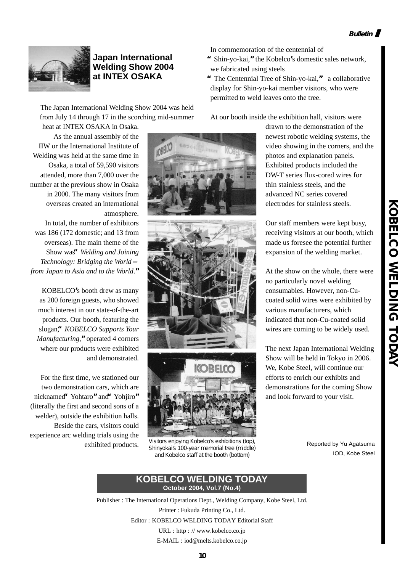

# **Japan International Welding Show 2004 at INTEX OSAKA**

The Japan International Welding Show 2004 was held from July 14 through 17 in the scorching mid-summer

heat at INTEX OSAKA in Osaka. As the annual assembly of the IIW or the International Institute of Welding was held at the same time in Osaka, a total of 59,590 visitors attended, more than 7,000 over the number at the previous show in Osaka in 2000. The many visitors from overseas created an international atmosphere. In total, the number of exhibitors was 186 (172 domestic; and 13 from overseas). The main theme of the Show was**"***Welding and Joining Technology: Bridging the World from Japan to Asia and to the World*.**"**

KOBELCO**'**s booth drew as many as 200 foreign guests, who showed much interest in our state-of-the-art products. Our booth, featuring the slogan,**"***KOBELCO Supports Your Manufacturing*,**"**operated 4 corners where our products were exhibited and demonstrated.

For the first time, we stationed our two demonstration cars, which are nicknamed**"**Yohtaro**"**and**"**Yohjiro**"** (literally the first and second sons of a welder), outside the exhibition halls. Beside the cars, visitors could experience arc welding trials using the exhibited products.





Visitors enjoying Kobelco's exhibitions (top), Shinyokai's 100-year memorial tree (middle) and Kobelco staff at the booth (bottom)

In commemoration of the centennial of

- **"**Shin-yo-kai,**"**the Kobelco**'**s domestic sales network, we fabricated using steels
- **"**The Centennial Tree of Shin-yo-kai,**"** a collaborative display for Shin-yo-kai member visitors, who were permitted to weld leaves onto the tree.

At our booth inside the exhibition hall, visitors were

drawn to the demonstration of the newest robotic welding systems, the video showing in the corners, and the photos and explanation panels. Exhibited products included the DW-T series flux-cored wires for thin stainless steels, and the advanced NC series covered electrodes for stainless steels.

Our staff members were kept busy, receiving visitors at our booth, which made us foresee the potential further expansion of the welding market.

At the show on the whole, there were no particularly novel welding consumables. However, non-Cucoated solid wires were exhibited by various manufacturers, which indicated that non-Cu-coated solid wires are coming to be widely used.

The next Japan International Welding Show will be held in Tokyo in 2006. We, Kobe Steel, will continue our efforts to enrich our exhibits and demonstrations for the coming Show and look forward to your visit.

Reported by Yu Agatsuma IOD, Kobe Steel

#### **KOBELCO WELDING TODAY October 2004, Vol.7 (No.4)**

Publisher : The International Operations Dept., Welding Company, Kobe Steel, Ltd. Printer : Fukuda Printing Co., Ltd. Editor : KOBELCO WELDING TODAY Editorial Staff URL : http : // www.kobelco.co.jp E-MAIL : iod@melts.kobelco.co.jp